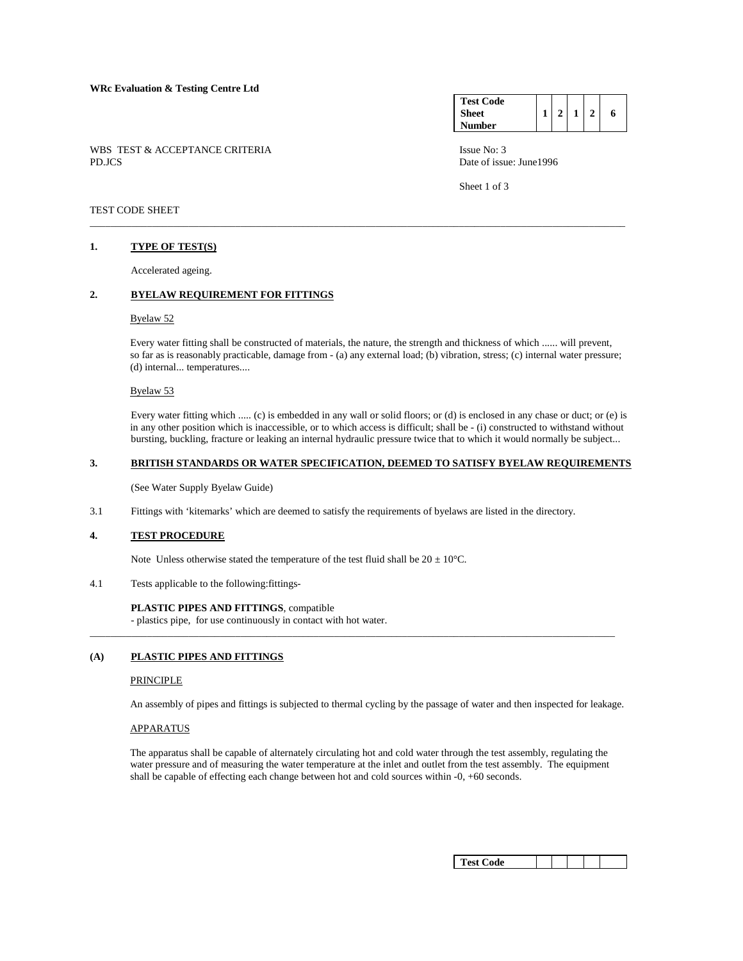|        | WBS TEST & ACCEPTANCE CRITERIA |  |
|--------|--------------------------------|--|
| PD.JCS |                                |  |

| <b>Test Code</b> |                |  |   |
|------------------|----------------|--|---|
| <b>Sheet</b>     | 2 <sup>1</sup> |  | 6 |
| <b>Number</b>    |                |  |   |

Issue No: 3 Date of issue: June1996

Sheet 1 of 3

### TEST CODE SHEET

## **1. TYPE OF TEST(S)**

Accelerated ageing.

# **2. BYELAW REQUIREMENT FOR FITTINGS**

## Byelaw 52

 Every water fitting shall be constructed of materials, the nature, the strength and thickness of which ...... will prevent, so far as is reasonably practicable, damage from - (a) any external load; (b) vibration, stress; (c) internal water pressure; (d) internal... temperatures....

\_\_\_\_\_\_\_\_\_\_\_\_\_\_\_\_\_\_\_\_\_\_\_\_\_\_\_\_\_\_\_\_\_\_\_\_\_\_\_\_\_\_\_\_\_\_\_\_\_\_\_\_\_\_\_\_\_\_\_\_\_\_\_\_\_\_\_\_\_\_\_\_\_\_\_\_\_\_\_\_\_\_\_\_\_\_\_\_\_\_\_\_\_\_\_\_\_\_\_\_\_\_\_

#### Byelaw 53

 Every water fitting which ..... (c) is embedded in any wall or solid floors; or (d) is enclosed in any chase or duct; or (e) is in any other position which is inaccessible, or to which access is difficult; shall be - (i) constructed to withstand without bursting, buckling, fracture or leaking an internal hydraulic pressure twice that to which it would normally be subject...

#### **3. BRITISH STANDARDS OR WATER SPECIFICATION, DEEMED TO SATISFY BYELAW REQUIREMENTS**

(See Water Supply Byelaw Guide)

3.1 Fittings with 'kitemarks' which are deemed to satisfy the requirements of byelaws are listed in the directory.

## **4. TEST PROCEDURE**

Note Unless otherwise stated the temperature of the test fluid shall be  $20 \pm 10^{\circ}$ C.

4.1 Tests applicable to the following:fittings-

#### **PLASTIC PIPES AND FITTINGS**, compatible

- plastics pipe, for use continuously in contact with hot water.

#### **(A) PLASTIC PIPES AND FITTINGS**

## PRINCIPLE

An assembly of pipes and fittings is subjected to thermal cycling by the passage of water and then inspected for leakage.

\_\_\_\_\_\_\_\_\_\_\_\_\_\_\_\_\_\_\_\_\_\_\_\_\_\_\_\_\_\_\_\_\_\_\_\_\_\_\_\_\_\_\_\_\_\_\_\_\_\_\_\_\_\_\_\_\_\_\_\_\_\_\_\_\_\_\_\_\_\_\_\_\_\_\_\_\_\_\_\_\_\_\_\_\_\_\_\_\_\_\_\_\_\_\_\_\_\_\_\_\_

## APPARATUS

 The apparatus shall be capable of alternately circulating hot and cold water through the test assembly, regulating the water pressure and of measuring the water temperature at the inlet and outlet from the test assembly. The equipment shall be capable of effecting each change between hot and cold sources within -0, +60 seconds.

| Test Code |  |  |  |  |  |
|-----------|--|--|--|--|--|
|-----------|--|--|--|--|--|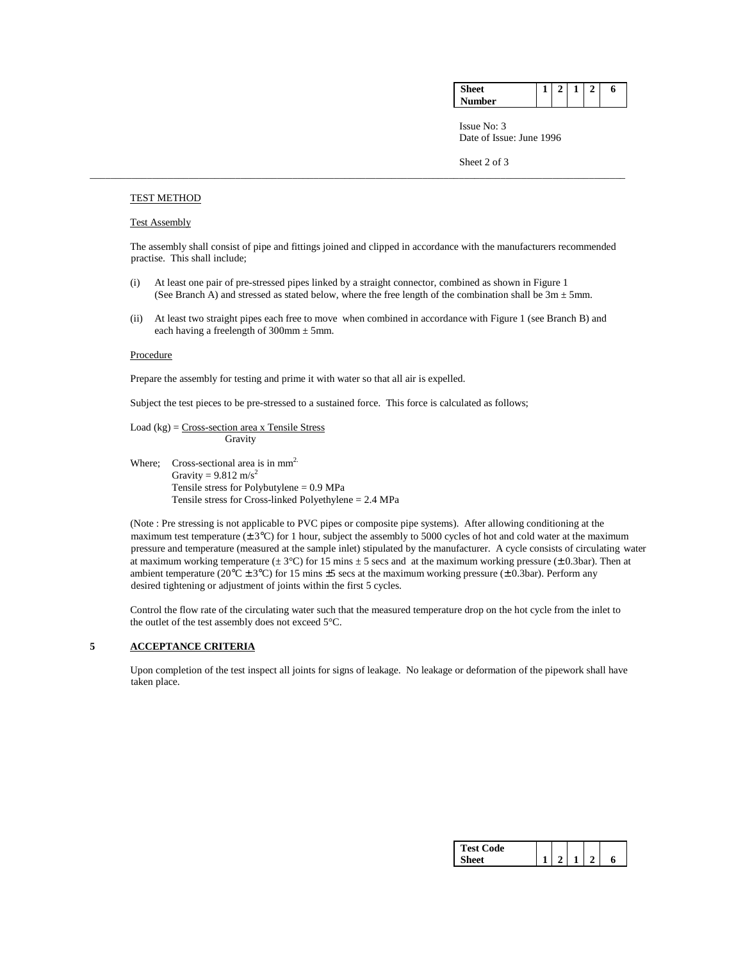| aт         | ٠<br>_ | _ | o |
|------------|--------|---|---|
| Nı.<br>ier |        |   |   |

**Issue No: 3** Date of Issue: June 1996

Sheet 2 of 3

#### TEST METHOD

#### Test Assembly

 The assembly shall consist of pipe and fittings joined and clipped in accordance with the manufacturers recommended practise. This shall include;

 (i) At least one pair of pre-stressed pipes linked by a straight connector, combined as shown in Figure 1 (See Branch A) and stressed as stated below, where the free length of the combination shall be  $3m \pm 5mm$ .

\_\_\_\_\_\_\_\_\_\_\_\_\_\_\_\_\_\_\_\_\_\_\_\_\_\_\_\_\_\_\_\_\_\_\_\_\_\_\_\_\_\_\_\_\_\_\_\_\_\_\_\_\_\_\_\_\_\_\_\_\_\_\_\_\_\_\_\_\_\_\_\_\_\_\_\_\_\_\_\_\_\_\_\_\_\_\_\_\_\_\_\_\_\_\_\_\_\_\_\_\_\_\_

 (ii) At least two straight pipes each free to move when combined in accordance with Figure 1 (see Branch B) and each having a freelength of  $300$ mm  $\pm$  5mm.

#### **Procedure**

Prepare the assembly for testing and prime it with water so that all air is expelled.

Subject the test pieces to be pre-stressed to a sustained force. This force is calculated as follows;

 Load (kg) = Cross-section area x Tensile Stress Gravity

Where; Cross-sectional area is in  $mm<sup>2</sup>$ . Gravity =  $9.812 \text{ m/s}^2$ <br>Tensile stress for Polybutylene = 0.9 MPa Tensile stress for Cross-linked Polyethylene  $= 2.4$  MPa

 (Note : Pre stressing is not applicable to PVC pipes or composite pipe systems). After allowing conditioning at the maximum test temperature  $(\pm 3^{\circ}C)$  for 1 hour, subject the assembly to 5000 cycles of hot and cold water at the maximum pressure and temperature (measured at the sample inlet) stipulated by the manufacturer. A cycle consists of circulating water at maximum working temperature ( $\pm$  3°C) for 15 mins  $\pm$  5 secs and at the maximum working pressure ( $\pm$  0.3bar). Then at ambient temperature ( $20^{\circ}\text{C} \pm 3^{\circ}\text{C}$ ) for 15 mins  $\pm 5$  secs at the maximum working pressure ( $\pm 0.3$ bar). Perform any desired tightening or adjustment of joints within the first 5 cycles.

 Control the flow rate of the circulating water such that the measured temperature drop on the hot cycle from the inlet to the outlet of the test assembly does not exceed 5°C.

# **5 ACCEPTANCE CRITERIA**

 Upon completion of the test inspect all joints for signs of leakage. No leakage or deformation of the pipework shall have taken place.

| <b>Test Code</b> |  |  |   |
|------------------|--|--|---|
| sheet:           |  |  | п |